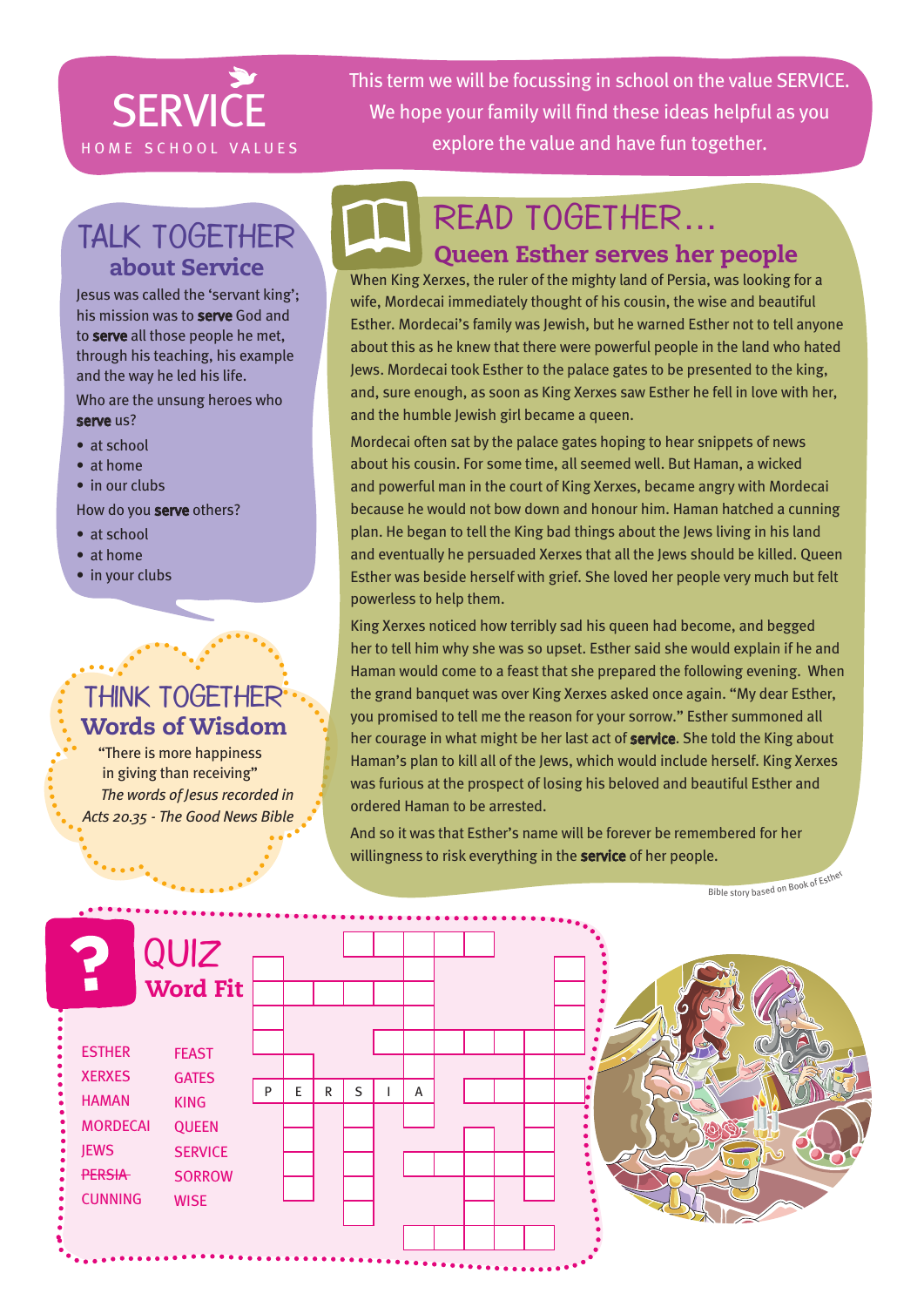# **SERVICE**

This term we will be focussing in school on the value SERVICE. We hope your family will find these ideas helpful as you HOME SCHOOL VALUES explore the value and have fun together.

### Talk together about Service

Jesus was called the 'servant king'; his mission was to **serve** God and to serve all those people he met, through his teaching, his example and the way he led his life.

Who are the unsung heroes who serve us?

- at school
- at home

#### • in our clubs

How do you serve others?

- at school
- at home
- in your clubs

 $\mathbf{r}$  , and  $\mathbf{r}_\mathrm{a}$ 

 $\mathbf{a}$ 

#### Think together Words of Wisdom

"There is more happiness in giving than receiving" *The words of Jesus recorded in Acts 20.35 - The Good News Bible*

# Read together…

#### Queen Esther serves her people

When King Xerxes, the ruler of the mighty land of Persia, was looking for a wife, Mordecai immediately thought of his cousin, the wise and beautiful Esther. Mordecai's family was Jewish, but he warned Esther not to tell anyone about this as he knew that there were powerful people in the land who hated Jews. Mordecai took Esther to the palace gates to be presented to the king, and, sure enough, as soon as King Xerxes saw Esther he fell in love with her, and the humble Jewish girl became a queen.

Mordecai often sat by the palace gates hoping to hear snippets of news about his cousin. For some time, all seemed well. But Haman, a wicked and powerful man in the court of King Xerxes, became angry with Mordecai because he would not bow down and honour him. Haman hatched a cunning plan. He began to tell the King bad things about the Jews living in his land and eventually he persuaded Xerxes that all the Jews should be killed. Queen Esther was beside herself with grief. She loved her people very much but felt powerless to help them.

King Xerxes noticed how terribly sad his queen had become, and begged her to tell him why she was so upset. Esther said she would explain if he and Haman would come to a feast that she prepared the following evening. When the grand banquet was over King Xerxes asked once again. "My dear Esther, you promised to tell me the reason for your sorrow." Esther summoned all her courage in what might be her last act of service. She told the King about Haman's plan to kill all of the Jews, which would include herself. King Xerxes was furious at the prospect of losing his beloved and beautiful Esther and ordered Haman to be arrested.

And so it was that Esther's name will be forever be remembered for her willingness to risk everything in the service of her people.

Bible story based on Book of Esther

| 2<br>$\blacksquare$                                                                                                 | QUIZ<br><b>Word Fit</b>                                                                                       |   |   |   |   |   |  |  |  |   |
|---------------------------------------------------------------------------------------------------------------------|---------------------------------------------------------------------------------------------------------------|---|---|---|---|---|--|--|--|---|
| <b>ESTHER</b><br><b>XERXES</b><br><b>HAMAN</b><br><b>MORDECAI</b><br><b>JEWS</b><br><b>PERSIA</b><br><b>CUNNING</b> | <b>FEAST</b><br><b>GATES</b><br><b>KING</b><br><b>QUEEN</b><br><b>SERVICE</b><br><b>SORROW</b><br><b>WISE</b> | P | E | R | S | A |  |  |  | ß |